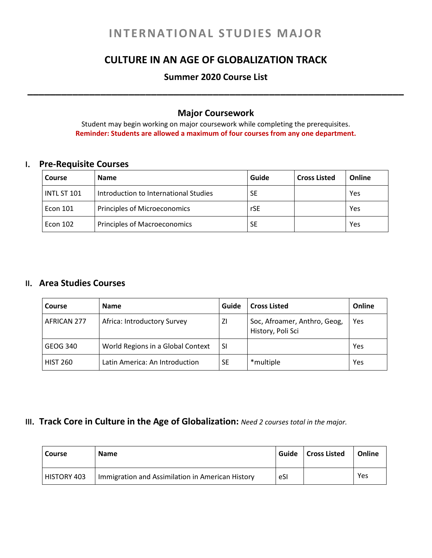# **INTERNATIONAL STUDIES MAJOR**

### **CULTURE IN AN AGE OF GLOBALIZATION TRACK**

## **Summer 2020 Course List \_\_\_\_\_\_\_\_\_\_\_\_\_\_\_\_\_\_\_\_\_\_\_\_\_\_\_\_\_\_\_\_\_\_\_\_\_\_\_\_\_\_\_\_\_\_\_\_\_\_\_\_\_\_\_\_\_\_\_\_\_\_\_\_\_\_\_**

#### **Major Coursework**

Student may begin working on major coursework while completing the prerequisites. **Reminder: Students are allowed a maximum of four courses from any one department.**

### **I. Pre-Requisite Courses**

| Course      | <b>Name</b>                           | Guide     | <b>Cross Listed</b> | Online |
|-------------|---------------------------------------|-----------|---------------------|--------|
| INTL ST 101 | Introduction to International Studies | <b>SE</b> |                     | Yes    |
| Econ 101    | <b>Principles of Microeconomics</b>   | rSE       |                     | Yes    |
| Econ 102    | <b>Principles of Macroeconomics</b>   | <b>SE</b> |                     | Yes    |

#### **II. Area Studies Courses**

| <b>Course</b>   | <b>Name</b>                       | Guide     | <b>Cross Listed</b>                               | Online     |
|-----------------|-----------------------------------|-----------|---------------------------------------------------|------------|
| AFRICAN 277     | Africa: Introductory Survey       | ΖI        | Soc, Afroamer, Anthro, Geog,<br>History, Poli Sci | <b>Yes</b> |
| GEOG 340        | World Regions in a Global Context | <b>SI</b> |                                                   | Yes        |
| <b>HIST 260</b> | Latin America: An Introduction    | SE        | *multiple                                         | Yes        |

#### **III. Track Core in Culture in the Age of Globalization:** *Need 2 courses total in the major.*

| l Course    | <b>Name</b>                                      | Guide | <b>Cross Listed</b> | Online |
|-------------|--------------------------------------------------|-------|---------------------|--------|
| HISTORY 403 | Immigration and Assimilation in American History | eSI   |                     | Yes    |